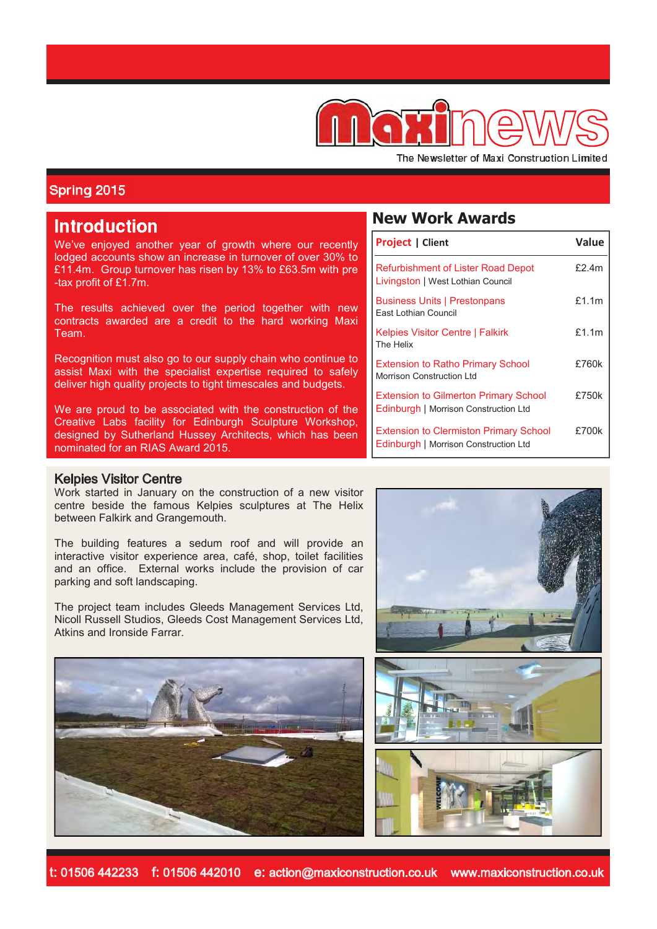

The Newsletter of Maxi Construction Limited

## Spring 2015

# **Introduction**

We've enjoyed another year of growth where our recently lodged accounts show an increase in turnover of over 30% to £11.4m. Group turnover has risen by 13% to £63.5m with pre -tax profit of £1.7m.

The results achieved over the period together with new contracts awarded are a credit to the hard working Maxi Team.

Recognition must also go to our supply chain who continue to assist Maxi with the specialist expertise required to safely deliver high quality projects to tight timescales and budgets.

We are proud to be associated with the construction of the Creative Labs facility for Edinburgh Sculpture Workshop, designed by Sutherland Hussey Architects, which has been nominated for an RIAS Award 2015.

#### Kelpies Visitor Centre

Work started in January on the construction of a new visitor centre beside the famous Kelpies sculptures at The Helix between Falkirk and Grangemouth.

The building features a sedum roof and will provide an interactive visitor experience area, café, shop, toilet facilities and an office. External works include the provision of car parking and soft landscaping.

The project team includes Gleeds Management Services Ltd, Nicoll Russell Studios, Gleeds Cost Management Services Ltd, Atkins and Ironside Farrar.



## **New Work Awards**

| <b>Project   Client</b>                                                                | Value    |
|----------------------------------------------------------------------------------------|----------|
| <b>Refurbishment of Lister Road Depot</b><br>Livingston   West Lothian Council         | f2.4m    |
| <b>Business Units   Prestonpans</b><br>East Lothian Council                            | £1.1 $m$ |
| <b>Kelpies Visitor Centre   Falkirk</b><br>The Helix                                   | f1.1m    |
| <b>Extension to Ratho Primary School</b><br>Morrison Construction Ltd                  | £760k    |
| <b>Extension to Gilmerton Primary School</b><br>Edinburgh   Morrison Construction Ltd  | £750k    |
| <b>Extension to Clermiston Primary School</b><br>Edinburgh   Morrison Construction Ltd | £700k    |